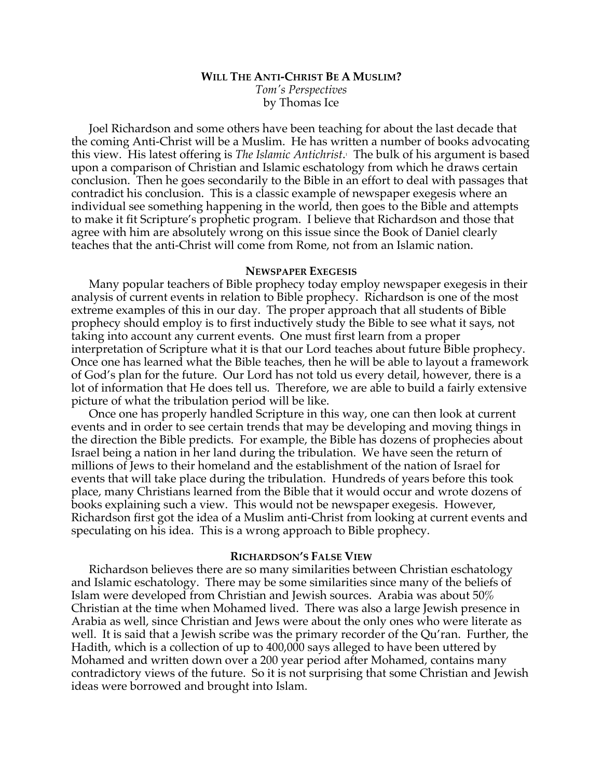# **WILL THE ANTI-CHRIST BE A MUSLIM?** *Tom's Perspectives* by Thomas Ice

Joel Richardson and some others have been teaching for about the last decade that the coming Anti-Christ will be a Muslim. He has written a number of books advocating this view. His latest offering is *The Islamic Antichrist*. 1 The bulk of his argument is based upon a comparison of Christian and Islamic eschatology from which he draws certain conclusion. Then he goes secondarily to the Bible in an effort to deal with passages that contradict his conclusion. This is a classic example of newspaper exegesis where an individual see something happening in the world, then goes to the Bible and attempts to make it fit Scripture's prophetic program. I believe that Richardson and those that agree with him are absolutely wrong on this issue since the Book of Daniel clearly teaches that the anti-Christ will come from Rome, not from an Islamic nation.

#### **NEWSPAPER EXEGESIS**

Many popular teachers of Bible prophecy today employ newspaper exegesis in their analysis of current events in relation to Bible prophecy. Richardson is one of the most extreme examples of this in our day. The proper approach that all students of Bible prophecy should employ is to first inductively study the Bible to see what it says, not taking into account any current events. One must first learn from a proper interpretation of Scripture what it is that our Lord teaches about future Bible prophecy. Once one has learned what the Bible teaches, then he will be able to layout a framework of God's plan for the future. Our Lord has not told us every detail, however, there is a lot of information that He does tell us. Therefore, we are able to build a fairly extensive picture of what the tribulation period will be like.

Once one has properly handled Scripture in this way, one can then look at current events and in order to see certain trends that may be developing and moving things in the direction the Bible predicts. For example, the Bible has dozens of prophecies about Israel being a nation in her land during the tribulation. We have seen the return of millions of Jews to their homeland and the establishment of the nation of Israel for events that will take place during the tribulation. Hundreds of years before this took place, many Christians learned from the Bible that it would occur and wrote dozens of books explaining such a view. This would not be newspaper exegesis. However, Richardson first got the idea of a Muslim anti-Christ from looking at current events and speculating on his idea. This is a wrong approach to Bible prophecy.

#### **RICHARDSON'S FALSE VIEW**

Richardson believes there are so many similarities between Christian eschatology and Islamic eschatology. There may be some similarities since many of the beliefs of Islam were developed from Christian and Jewish sources. Arabia was about 50% Christian at the time when Mohamed lived. There was also a large Jewish presence in Arabia as well, since Christian and Jews were about the only ones who were literate as well. It is said that a Jewish scribe was the primary recorder of the Qu'ran. Further, the Hadith, which is a collection of up to 400,000 says alleged to have been uttered by Mohamed and written down over a 200 year period after Mohamed, contains many contradictory views of the future. So it is not surprising that some Christian and Jewish ideas were borrowed and brought into Islam.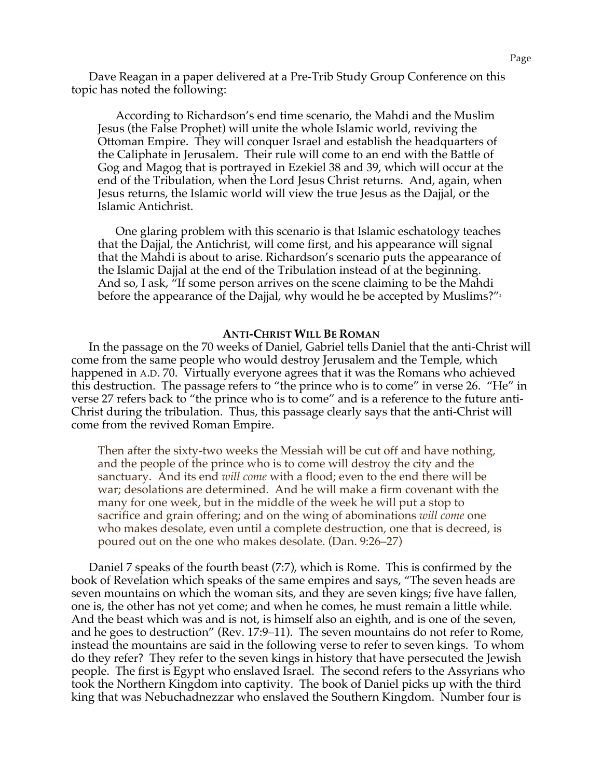Dave Reagan in a paper delivered at a Pre-Trib Study Group Conference on this topic has noted the following:

According to Richardson's end time scenario, the Mahdi and the Muslim Jesus (the False Prophet) will unite the whole Islamic world, reviving the Ottoman Empire. They will conquer Israel and establish the headquarters of the Caliphate in Jerusalem. Their rule will come to an end with the Battle of Gog and Magog that is portrayed in Ezekiel 38 and 39, which will occur at the end of the Tribulation, when the Lord Jesus Christ returns. And, again, when Jesus returns, the Islamic world will view the true Jesus as the Dajjal, or the Islamic Antichrist.

One glaring problem with this scenario is that Islamic eschatology teaches that the Dajjal, the Antichrist, will come first, and his appearance will signal that the Mahdi is about to arise. Richardson's scenario puts the appearance of the Islamic Dajjal at the end of the Tribulation instead of at the beginning. And so, I ask, "If some person arrives on the scene claiming to be the Mahdi before the appearance of the Dajjal, why would he be accepted by Muslims?" $\frac{1}{2}$ 

#### **ANTI-CHRIST WILL BE ROMAN**

In the passage on the 70 weeks of Daniel, Gabriel tells Daniel that the anti-Christ will come from the same people who would destroy Jerusalem and the Temple, which happened in A.D. 70. Virtually everyone agrees that it was the Romans who achieved this destruction. The passage refers to "the prince who is to come" in verse 26. "He" in verse 27 refers back to "the prince who is to come" and is a reference to the future anti-Christ during the tribulation. Thus, this passage clearly says that the anti-Christ will come from the revived Roman Empire.

Then after the sixty-two weeks the Messiah will be cut off and have nothing, and the people of the prince who is to come will destroy the city and the sanctuary. And its end *will come* with a flood; even to the end there will be war; desolations are determined. And he will make a firm covenant with the many for one week, but in the middle of the week he will put a stop to sacrifice and grain offering; and on the wing of abominations *will come* one who makes desolate, even until a complete destruction, one that is decreed, is poured out on the one who makes desolate. (Dan. 9:26–27)

Daniel 7 speaks of the fourth beast (7:7), which is Rome. This is confirmed by the book of Revelation which speaks of the same empires and says, "The seven heads are seven mountains on which the woman sits, and they are seven kings; five have fallen, one is, the other has not yet come; and when he comes, he must remain a little while. And the beast which was and is not, is himself also an eighth, and is one of the seven, and he goes to destruction" (Rev. 17:9–11). The seven mountains do not refer to Rome, instead the mountains are said in the following verse to refer to seven kings. To whom do they refer? They refer to the seven kings in history that have persecuted the Jewish people. The first is Egypt who enslaved Israel. The second refers to the Assyrians who took the Northern Kingdom into captivity. The book of Daniel picks up with the third king that was Nebuchadnezzar who enslaved the Southern Kingdom. Number four is